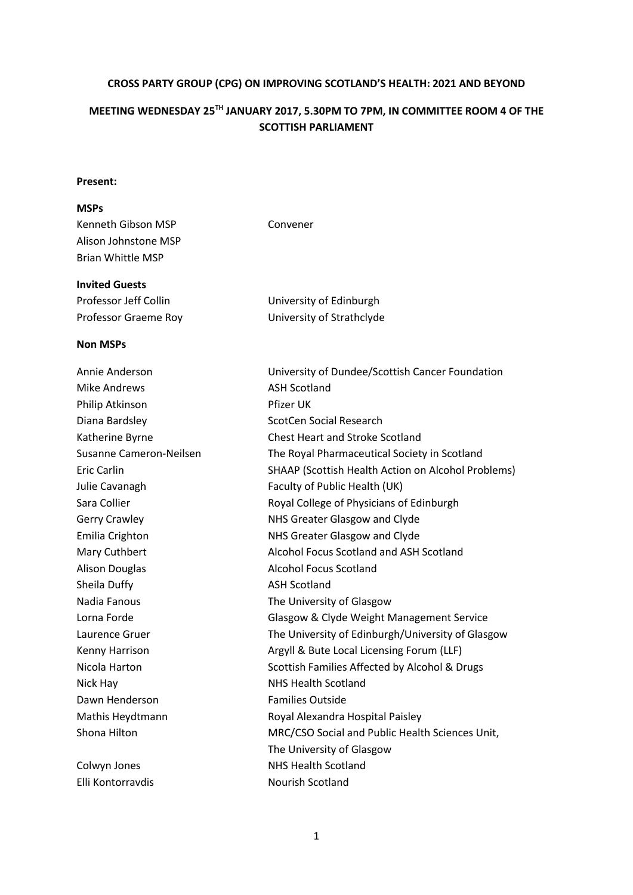#### **CROSS PARTY GROUP (CPG) ON IMPROVING SCOTLAND'S HEALTH: 2021 AND BEYOND**

# **MEETING WEDNESDAY 25TH JANUARY 2017, 5.30PM TO 7PM, IN COMMITTEE ROOM 4 OF THE SCOTTISH PARLIAMENT**

#### **Present:**

### **MSPs** Kenneth Gibson MSP Convener Alison Johnstone MSP Brian Whittle MSP

| Professor Jeff Collin | University of Edinburgh   |
|-----------------------|---------------------------|
| Professor Graeme Roy  | University of Strathclyde |

#### **Non MSPs**

**Invited Guests**

| Annie Anderson          | University of Dundee/Scottis         |
|-------------------------|--------------------------------------|
| <b>Mike Andrews</b>     | <b>ASH Scotland</b>                  |
| Philip Atkinson         | Pfizer UK                            |
| Diana Bardsley          | ScotCen Social Research              |
| Katherine Byrne         | <b>Chest Heart and Stroke Scotl</b>  |
| Susanne Cameron-Neilsen | The Royal Pharmaceutical So          |
| <b>Eric Carlin</b>      | <b>SHAAP (Scottish Health Action</b> |
| Julie Cavanagh          | Faculty of Public Health (UK)        |
| Sara Collier            | Royal College of Physicians c        |
| Gerry Crawley           | NHS Greater Glasgow and Cl           |
| Emilia Crighton         | NHS Greater Glasgow and Cl           |
| Mary Cuthbert           | Alcohol Focus Scotland and /         |
| <b>Alison Douglas</b>   | <b>Alcohol Focus Scotland</b>        |
| Sheila Duffy            | <b>ASH Scotland</b>                  |
| Nadia Fanous            | The University of Glasgow            |
| Lorna Forde             | Glasgow & Clyde Weight Ma            |
| Laurence Gruer          | The University of Edinburgh          |
| Kenny Harrison          | Argyll & Bute Local Licensing        |
| Nicola Harton           | Scottish Families Affected by        |
| Nick Hay                | <b>NHS Health Scotland</b>           |
| Dawn Henderson          | <b>Families Outside</b>              |
| Mathis Heydtmann        | Royal Alexandra Hospital Pai         |
| Shona Hilton            | MRC/CSO Social and Public I          |
|                         | The University of Glasgow            |

| Annie Anderson          | University of Dundee/Scottish Cancer Foundation    |
|-------------------------|----------------------------------------------------|
| <b>Mike Andrews</b>     | <b>ASH Scotland</b>                                |
| Philip Atkinson         | Pfizer UK                                          |
| Diana Bardsley          | <b>ScotCen Social Research</b>                     |
| Katherine Byrne         | <b>Chest Heart and Stroke Scotland</b>             |
| Susanne Cameron-Neilsen | The Royal Pharmaceutical Society in Scotland       |
| Eric Carlin             | SHAAP (Scottish Health Action on Alcohol Problems) |
| Julie Cavanagh          | Faculty of Public Health (UK)                      |
| Sara Collier            | Royal College of Physicians of Edinburgh           |
| <b>Gerry Crawley</b>    | NHS Greater Glasgow and Clyde                      |
| Emilia Crighton         | NHS Greater Glasgow and Clyde                      |
| Mary Cuthbert           | Alcohol Focus Scotland and ASH Scotland            |
| <b>Alison Douglas</b>   | <b>Alcohol Focus Scotland</b>                      |
| Sheila Duffy            | <b>ASH Scotland</b>                                |
| Nadia Fanous            | The University of Glasgow                          |
| Lorna Forde             | Glasgow & Clyde Weight Management Service          |
| Laurence Gruer          | The University of Edinburgh/University of Glasgow  |
| Kenny Harrison          | Argyll & Bute Local Licensing Forum (LLF)          |
| Nicola Harton           | Scottish Families Affected by Alcohol & Drugs      |
| Nick Hay                | <b>NHS Health Scotland</b>                         |
| Dawn Henderson          | <b>Families Outside</b>                            |
| Mathis Heydtmann        | Royal Alexandra Hospital Paisley                   |
| Shona Hilton            | MRC/CSO Social and Public Health Sciences Unit,    |
|                         | The University of Glasgow                          |
| Colwyn Jones            | <b>NHS Health Scotland</b>                         |
| Elli Kontorravdis       | Nourish Scotland                                   |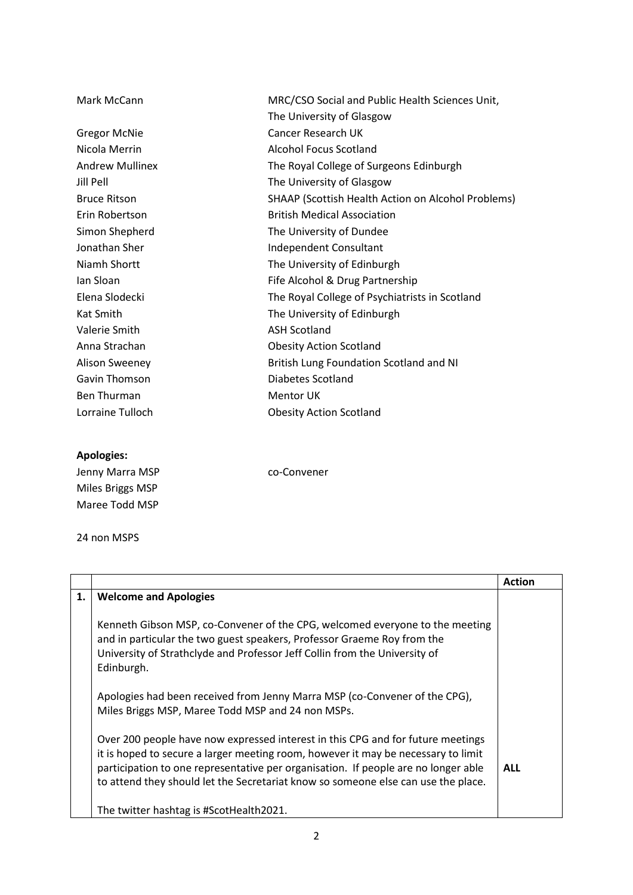| Mark McCann            | MRC/CSO Social and Public Health Sciences Unit,    |
|------------------------|----------------------------------------------------|
|                        | The University of Glasgow                          |
| <b>Gregor McNie</b>    | Cancer Research UK                                 |
| Nicola Merrin          | Alcohol Focus Scotland                             |
| <b>Andrew Mullinex</b> | The Royal College of Surgeons Edinburgh            |
| <b>Jill Pell</b>       | The University of Glasgow                          |
| <b>Bruce Ritson</b>    | SHAAP (Scottish Health Action on Alcohol Problems) |
| Erin Robertson         | <b>British Medical Association</b>                 |
| Simon Shepherd         | The University of Dundee                           |
| Jonathan Sher          | Independent Consultant                             |
| Niamh Shortt           | The University of Edinburgh                        |
| lan Sloan              | Fife Alcohol & Drug Partnership                    |
| Elena Slodecki         | The Royal College of Psychiatrists in Scotland     |
| Kat Smith              | The University of Edinburgh                        |
| Valerie Smith          | <b>ASH Scotland</b>                                |
| Anna Strachan          | <b>Obesity Action Scotland</b>                     |
| <b>Alison Sweeney</b>  | British Lung Foundation Scotland and NI            |
| Gavin Thomson          | Diabetes Scotland                                  |
| Ben Thurman            | <b>Mentor UK</b>                                   |
| Lorraine Tulloch       | <b>Obesity Action Scotland</b>                     |

## **Apologies:**

| Jenny Marra MSP  | co-Convener |
|------------------|-------------|
| Miles Briggs MSP |             |
| Maree Todd MSP   |             |

24 non MSPS

|    |                                                                                                                                                                                                                                                                                                                                                 | <b>Action</b> |
|----|-------------------------------------------------------------------------------------------------------------------------------------------------------------------------------------------------------------------------------------------------------------------------------------------------------------------------------------------------|---------------|
| 1. | <b>Welcome and Apologies</b>                                                                                                                                                                                                                                                                                                                    |               |
|    | Kenneth Gibson MSP, co-Convener of the CPG, welcomed everyone to the meeting<br>and in particular the two guest speakers, Professor Graeme Roy from the<br>University of Strathclyde and Professor Jeff Collin from the University of<br>Edinburgh.                                                                                             |               |
|    | Apologies had been received from Jenny Marra MSP (co-Convener of the CPG),<br>Miles Briggs MSP, Maree Todd MSP and 24 non MSPs.                                                                                                                                                                                                                 |               |
|    | Over 200 people have now expressed interest in this CPG and for future meetings<br>it is hoped to secure a larger meeting room, however it may be necessary to limit<br>participation to one representative per organisation. If people are no longer able<br>to attend they should let the Secretariat know so someone else can use the place. | <b>ALL</b>    |
|    | The twitter hashtag is #ScotHealth2021.                                                                                                                                                                                                                                                                                                         |               |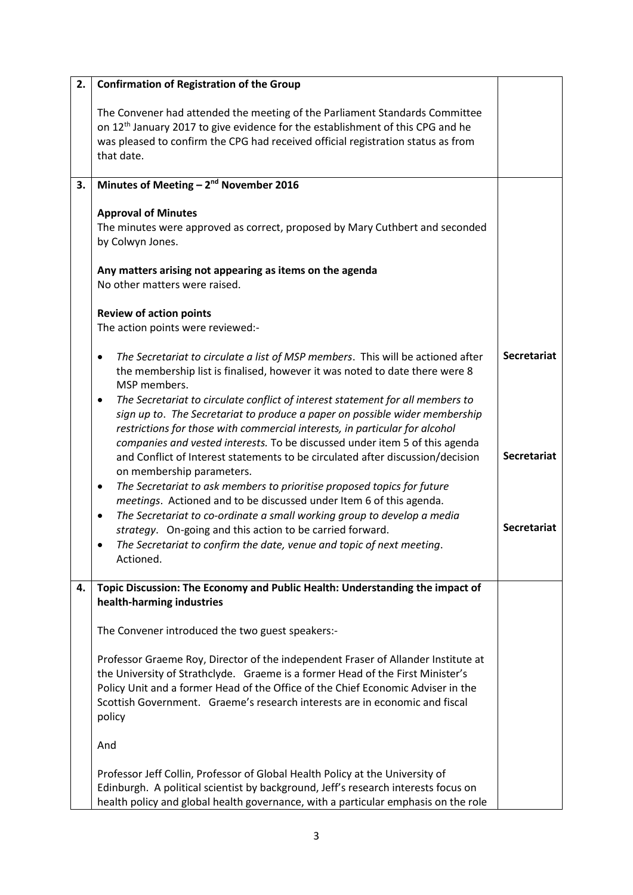| 2. | <b>Confirmation of Registration of the Group</b>                                                                                                                                                                                                                                                                                                 |                    |
|----|--------------------------------------------------------------------------------------------------------------------------------------------------------------------------------------------------------------------------------------------------------------------------------------------------------------------------------------------------|--------------------|
|    | The Convener had attended the meeting of the Parliament Standards Committee<br>on 12 <sup>th</sup> January 2017 to give evidence for the establishment of this CPG and he<br>was pleased to confirm the CPG had received official registration status as from<br>that date.                                                                      |                    |
| 3. | Minutes of Meeting $-2nd$ November 2016                                                                                                                                                                                                                                                                                                          |                    |
|    | <b>Approval of Minutes</b><br>The minutes were approved as correct, proposed by Mary Cuthbert and seconded<br>by Colwyn Jones.                                                                                                                                                                                                                   |                    |
|    | Any matters arising not appearing as items on the agenda<br>No other matters were raised.                                                                                                                                                                                                                                                        |                    |
|    | <b>Review of action points</b><br>The action points were reviewed:-                                                                                                                                                                                                                                                                              |                    |
|    | The Secretariat to circulate a list of MSP members. This will be actioned after<br>٠<br>the membership list is finalised, however it was noted to date there were 8<br>MSP members.                                                                                                                                                              | <b>Secretariat</b> |
|    | The Secretariat to circulate conflict of interest statement for all members to<br>٠<br>sign up to. The Secretariat to produce a paper on possible wider membership<br>restrictions for those with commercial interests, in particular for alcohol<br>companies and vested interests. To be discussed under item 5 of this agenda                 |                    |
|    | and Conflict of Interest statements to be circulated after discussion/decision<br>on membership parameters.                                                                                                                                                                                                                                      | <b>Secretariat</b> |
|    | The Secretariat to ask members to prioritise proposed topics for future<br>٠<br>meetings. Actioned and to be discussed under Item 6 of this agenda.                                                                                                                                                                                              |                    |
|    | The Secretariat to co-ordinate a small working group to develop a media<br>٠<br>strategy. On-going and this action to be carried forward.                                                                                                                                                                                                        | <b>Secretariat</b> |
|    | The Secretariat to confirm the date, venue and topic of next meeting.<br>Actioned.                                                                                                                                                                                                                                                               |                    |
| 4. | Topic Discussion: The Economy and Public Health: Understanding the impact of<br>health-harming industries                                                                                                                                                                                                                                        |                    |
|    | The Convener introduced the two guest speakers:-                                                                                                                                                                                                                                                                                                 |                    |
|    | Professor Graeme Roy, Director of the independent Fraser of Allander Institute at<br>the University of Strathclyde. Graeme is a former Head of the First Minister's<br>Policy Unit and a former Head of the Office of the Chief Economic Adviser in the<br>Scottish Government. Graeme's research interests are in economic and fiscal<br>policy |                    |
|    | And                                                                                                                                                                                                                                                                                                                                              |                    |
|    | Professor Jeff Collin, Professor of Global Health Policy at the University of<br>Edinburgh. A political scientist by background, Jeff's research interests focus on<br>health policy and global health governance, with a particular emphasis on the role                                                                                        |                    |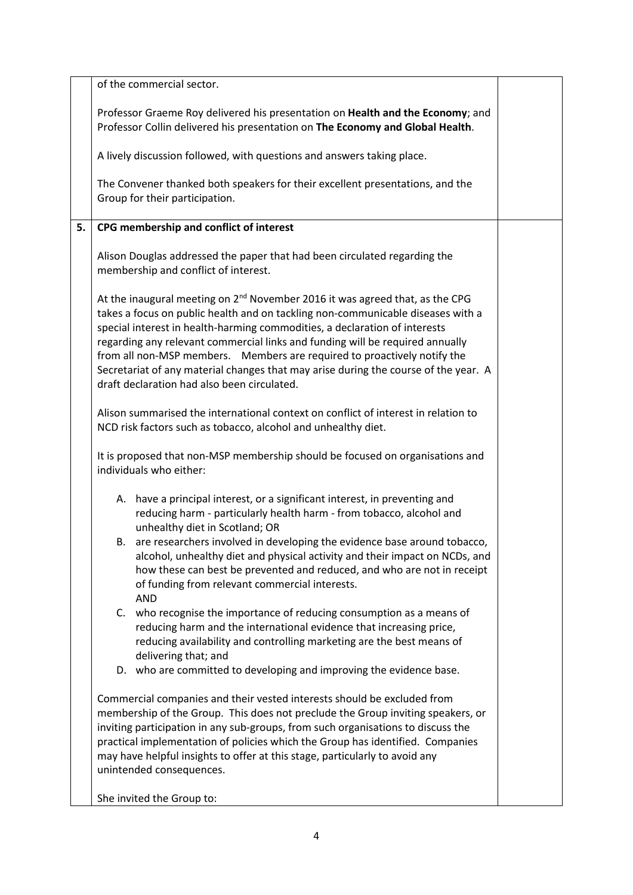|    | of the commercial sector.                                                                                                                                                                                                                                                                                                                                                                                                                                                                                                                                    |  |
|----|--------------------------------------------------------------------------------------------------------------------------------------------------------------------------------------------------------------------------------------------------------------------------------------------------------------------------------------------------------------------------------------------------------------------------------------------------------------------------------------------------------------------------------------------------------------|--|
|    | Professor Graeme Roy delivered his presentation on Health and the Economy; and<br>Professor Collin delivered his presentation on The Economy and Global Health.                                                                                                                                                                                                                                                                                                                                                                                              |  |
|    | A lively discussion followed, with questions and answers taking place.                                                                                                                                                                                                                                                                                                                                                                                                                                                                                       |  |
|    | The Convener thanked both speakers for their excellent presentations, and the<br>Group for their participation.                                                                                                                                                                                                                                                                                                                                                                                                                                              |  |
| 5. | CPG membership and conflict of interest                                                                                                                                                                                                                                                                                                                                                                                                                                                                                                                      |  |
|    | Alison Douglas addressed the paper that had been circulated regarding the<br>membership and conflict of interest.                                                                                                                                                                                                                                                                                                                                                                                                                                            |  |
|    | At the inaugural meeting on 2 <sup>nd</sup> November 2016 it was agreed that, as the CPG<br>takes a focus on public health and on tackling non-communicable diseases with a<br>special interest in health-harming commodities, a declaration of interests<br>regarding any relevant commercial links and funding will be required annually<br>from all non-MSP members. Members are required to proactively notify the<br>Secretariat of any material changes that may arise during the course of the year. A<br>draft declaration had also been circulated. |  |
|    | Alison summarised the international context on conflict of interest in relation to<br>NCD risk factors such as tobacco, alcohol and unhealthy diet.                                                                                                                                                                                                                                                                                                                                                                                                          |  |
|    | It is proposed that non-MSP membership should be focused on organisations and<br>individuals who either:                                                                                                                                                                                                                                                                                                                                                                                                                                                     |  |
|    | A. have a principal interest, or a significant interest, in preventing and<br>reducing harm - particularly health harm - from tobacco, alcohol and<br>unhealthy diet in Scotland; OR                                                                                                                                                                                                                                                                                                                                                                         |  |
|    | B. are researchers involved in developing the evidence base around tobacco,<br>alcohol, unhealthy diet and physical activity and their impact on NCDs, and<br>how these can best be prevented and reduced, and who are not in receipt<br>of funding from relevant commercial interests.<br><b>AND</b>                                                                                                                                                                                                                                                        |  |
|    | C. who recognise the importance of reducing consumption as a means of<br>reducing harm and the international evidence that increasing price,<br>reducing availability and controlling marketing are the best means of<br>delivering that; and                                                                                                                                                                                                                                                                                                                |  |
|    | D. who are committed to developing and improving the evidence base.                                                                                                                                                                                                                                                                                                                                                                                                                                                                                          |  |
|    | Commercial companies and their vested interests should be excluded from<br>membership of the Group. This does not preclude the Group inviting speakers, or<br>inviting participation in any sub-groups, from such organisations to discuss the<br>practical implementation of policies which the Group has identified. Companies<br>may have helpful insights to offer at this stage, particularly to avoid any<br>unintended consequences.                                                                                                                  |  |
|    | She invited the Group to:                                                                                                                                                                                                                                                                                                                                                                                                                                                                                                                                    |  |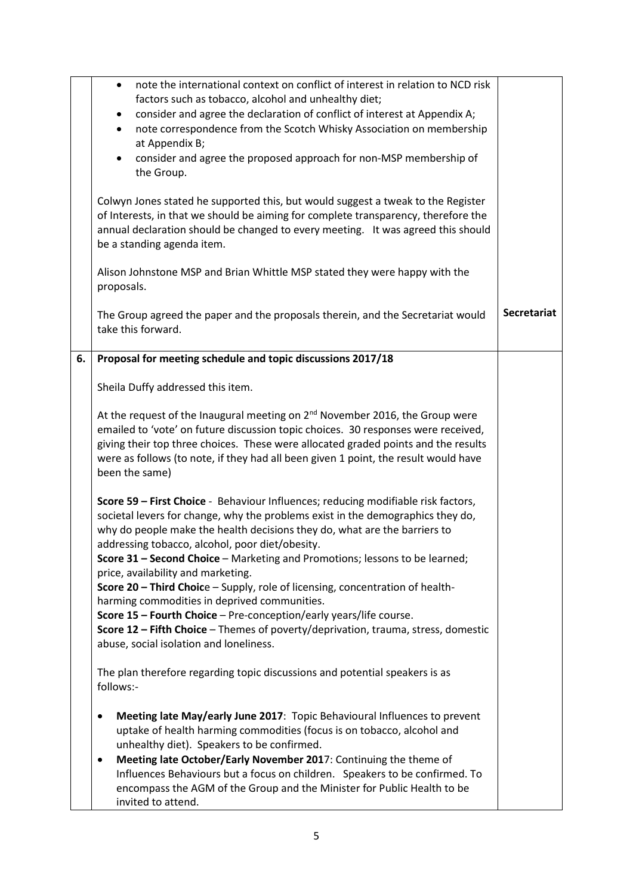|    | note the international context on conflict of interest in relation to NCD risk<br>$\bullet$                                                    |                    |
|----|------------------------------------------------------------------------------------------------------------------------------------------------|--------------------|
|    | factors such as tobacco, alcohol and unhealthy diet;<br>consider and agree the declaration of conflict of interest at Appendix A;<br>$\bullet$ |                    |
|    | note correspondence from the Scotch Whisky Association on membership<br>$\bullet$                                                              |                    |
|    | at Appendix B;                                                                                                                                 |                    |
|    | consider and agree the proposed approach for non-MSP membership of<br>$\bullet$                                                                |                    |
|    | the Group.                                                                                                                                     |                    |
|    |                                                                                                                                                |                    |
|    | Colwyn Jones stated he supported this, but would suggest a tweak to the Register                                                               |                    |
|    | of Interests, in that we should be aiming for complete transparency, therefore the                                                             |                    |
|    | annual declaration should be changed to every meeting. It was agreed this should                                                               |                    |
|    | be a standing agenda item.                                                                                                                     |                    |
|    | Alison Johnstone MSP and Brian Whittle MSP stated they were happy with the                                                                     |                    |
|    | proposals.                                                                                                                                     |                    |
|    |                                                                                                                                                |                    |
|    | The Group agreed the paper and the proposals therein, and the Secretariat would                                                                | <b>Secretariat</b> |
|    | take this forward.                                                                                                                             |                    |
| 6. | Proposal for meeting schedule and topic discussions 2017/18                                                                                    |                    |
|    |                                                                                                                                                |                    |
|    | Sheila Duffy addressed this item.                                                                                                              |                    |
|    | At the request of the Inaugural meeting on 2 <sup>nd</sup> November 2016, the Group were                                                       |                    |
|    | emailed to 'vote' on future discussion topic choices. 30 responses were received,                                                              |                    |
|    | giving their top three choices. These were allocated graded points and the results                                                             |                    |
|    | were as follows (to note, if they had all been given 1 point, the result would have                                                            |                    |
|    | been the same)                                                                                                                                 |                    |
|    | Score 59 - First Choice - Behaviour Influences; reducing modifiable risk factors,                                                              |                    |
|    | societal levers for change, why the problems exist in the demographics they do,                                                                |                    |
|    | why do people make the health decisions they do, what are the barriers to                                                                      |                    |
|    | addressing tobacco, alcohol, poor diet/obesity.                                                                                                |                    |
|    | Score 31 - Second Choice - Marketing and Promotions; lessons to be learned;                                                                    |                    |
|    | price, availability and marketing.                                                                                                             |                    |
|    | Score 20 - Third Choice - Supply, role of licensing, concentration of health-                                                                  |                    |
|    | harming commodities in deprived communities.                                                                                                   |                    |
|    | Score 15 - Fourth Choice - Pre-conception/early years/life course.                                                                             |                    |
|    | Score 12 - Fifth Choice - Themes of poverty/deprivation, trauma, stress, domestic                                                              |                    |
|    | abuse, social isolation and loneliness.                                                                                                        |                    |
|    | The plan therefore regarding topic discussions and potential speakers is as                                                                    |                    |
|    | follows:-                                                                                                                                      |                    |
|    | Meeting late May/early June 2017: Topic Behavioural Influences to prevent<br>٠                                                                 |                    |
|    | uptake of health harming commodities (focus is on tobacco, alcohol and                                                                         |                    |
|    | unhealthy diet). Speakers to be confirmed.                                                                                                     |                    |
|    | Meeting late October/Early November 2017: Continuing the theme of<br>٠                                                                         |                    |
|    | Influences Behaviours but a focus on children. Speakers to be confirmed. To                                                                    |                    |
|    | encompass the AGM of the Group and the Minister for Public Health to be                                                                        |                    |
|    | invited to attend.                                                                                                                             |                    |